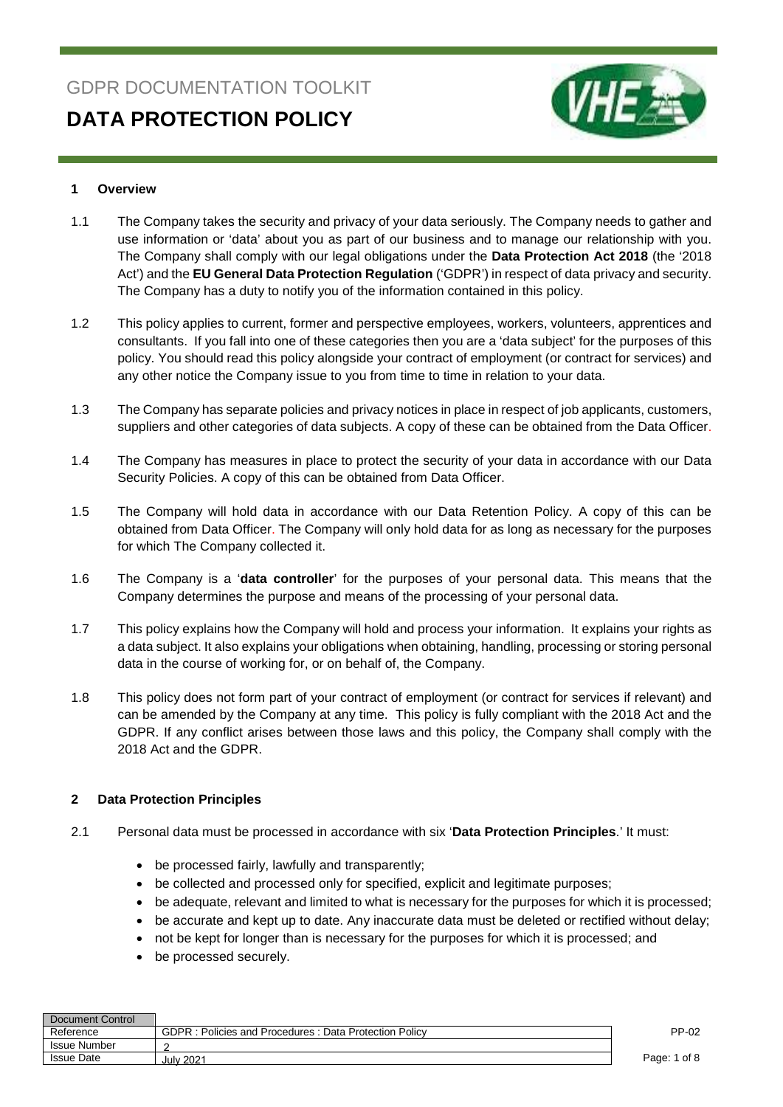# GDPR DOCUMENTATION TOOLKIT **DATA PROTECTION POLICY**



#### **1 Overview**

- 1.1 The Company takes the security and privacy of your data seriously. The Company needs to gather and use information or 'data' about you as part of our business and to manage our relationship with you. The Company shall comply with our legal obligations under the **Data Protection Act 2018** (the '2018 Act') and the **EU General Data Protection Regulation** ('GDPR') in respect of data privacy and security. The Company has a duty to notify you of the information contained in this policy.
- 1.2 This policy applies to current, former and perspective employees, workers, volunteers, apprentices and consultants. If you fall into one of these categories then you are a 'data subject' for the purposes of this policy. You should read this policy alongside your contract of employment (or contract for services) and any other notice the Company issue to you from time to time in relation to your data.
- 1.3 The Company has separate policies and privacy notices in place in respect of job applicants, customers, suppliers and other categories of data subjects. A copy of these can be obtained from the Data Officer.
- 1.4 The Company has measures in place to protect the security of your data in accordance with our Data Security Policies. A copy of this can be obtained from Data Officer.
- 1.5 The Company will hold data in accordance with our Data Retention Policy. A copy of this can be obtained from Data Officer. The Company will only hold data for as long as necessary for the purposes for which The Company collected it.
- 1.6 The Company is a '**data controller**' for the purposes of your personal data. This means that the Company determines the purpose and means of the processing of your personal data.
- 1.7 This policy explains how the Company will hold and process your information. It explains your rights as a data subject. It also explains your obligations when obtaining, handling, processing or storing personal data in the course of working for, or on behalf of, the Company.
- 1.8 This policy does not form part of your contract of employment (or contract for services if relevant) and can be amended by the Company at any time. This policy is fully compliant with the 2018 Act and the GDPR. If any conflict arises between those laws and this policy, the Company shall comply with the 2018 Act and the GDPR.

#### **2 Data Protection Principles**

- 2.1 Personal data must be processed in accordance with six '**Data Protection Principles**.' It must:
	- be processed fairly, lawfully and transparently;
	- be collected and processed only for specified, explicit and legitimate purposes;
	- be adequate, relevant and limited to what is necessary for the purposes for which it is processed;
	- be accurate and kept up to date. Any inaccurate data must be deleted or rectified without delay;
	- not be kept for longer than is necessary for the purposes for which it is processed; and
	- be processed securely.

| Document Control    |                                                                   |              |
|---------------------|-------------------------------------------------------------------|--------------|
| Reference           | <b>GDPR</b><br>: Policies and Procedures : Data Protection Policy | PP-02        |
| <b>Issue Number</b> |                                                                   |              |
| <b>Issue Date</b>   | <b>July 2021</b>                                                  | Page: 1 of 8 |
|                     |                                                                   |              |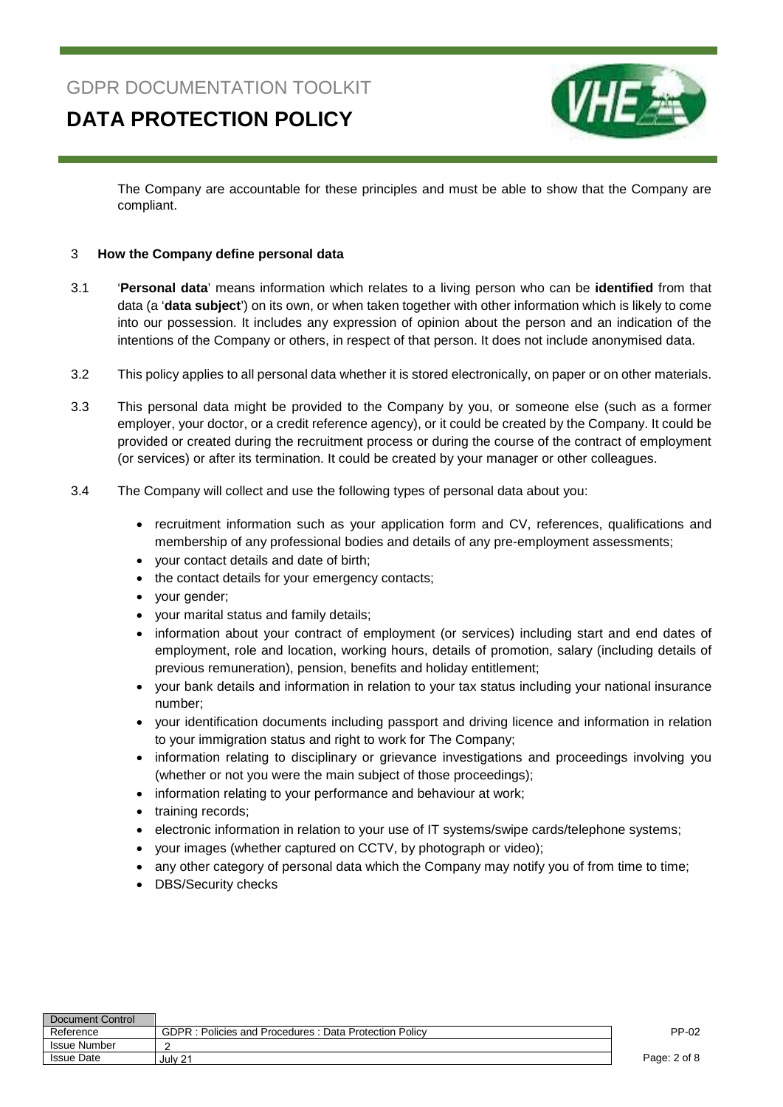### **DATA PROTECTION POLICY**



The Company are accountable for these principles and must be able to show that the Company are compliant.

#### 3 **How the Company define personal data**

- 3.1 '**Personal data**' means information which relates to a living person who can be **identified** from that data (a '**data subject**') on its own, or when taken together with other information which is likely to come into our possession. It includes any expression of opinion about the person and an indication of the intentions of the Company or others, in respect of that person. It does not include anonymised data.
- 3.2 This policy applies to all personal data whether it is stored electronically, on paper or on other materials.
- 3.3 This personal data might be provided to the Company by you, or someone else (such as a former employer, your doctor, or a credit reference agency), or it could be created by the Company. It could be provided or created during the recruitment process or during the course of the contract of employment (or services) or after its termination. It could be created by your manager or other colleagues.
- 3.4 The Company will collect and use the following types of personal data about you:
	- recruitment information such as your application form and CV, references, qualifications and membership of any professional bodies and details of any pre-employment assessments;
	- your contact details and date of birth;
	- the contact details for your emergency contacts;
	- your gender;
	- your marital status and family details;
	- information about your contract of employment (or services) including start and end dates of employment, role and location, working hours, details of promotion, salary (including details of previous remuneration), pension, benefits and holiday entitlement;
	- your bank details and information in relation to your tax status including your national insurance number;
	- your identification documents including passport and driving licence and information in relation to your immigration status and right to work for The Company;
	- information relating to disciplinary or grievance investigations and proceedings involving you (whether or not you were the main subject of those proceedings);
	- information relating to your performance and behaviour at work;
	- training records;
	- electronic information in relation to your use of IT systems/swipe cards/telephone systems;
	- your images (whether captured on CCTV, by photograph or video);
	- any other category of personal data which the Company may notify you of from time to time;
	- DBS/Security checks

| Document Control    |                                                                   |              |
|---------------------|-------------------------------------------------------------------|--------------|
| Reference           | <b>GDPR</b><br>: Policies and Procedures : Data Protection Policv | PP-02        |
| <b>Issue Number</b> |                                                                   |              |
| <b>Issue Date</b>   | July 21                                                           | Page: 2 of 8 |
|                     |                                                                   |              |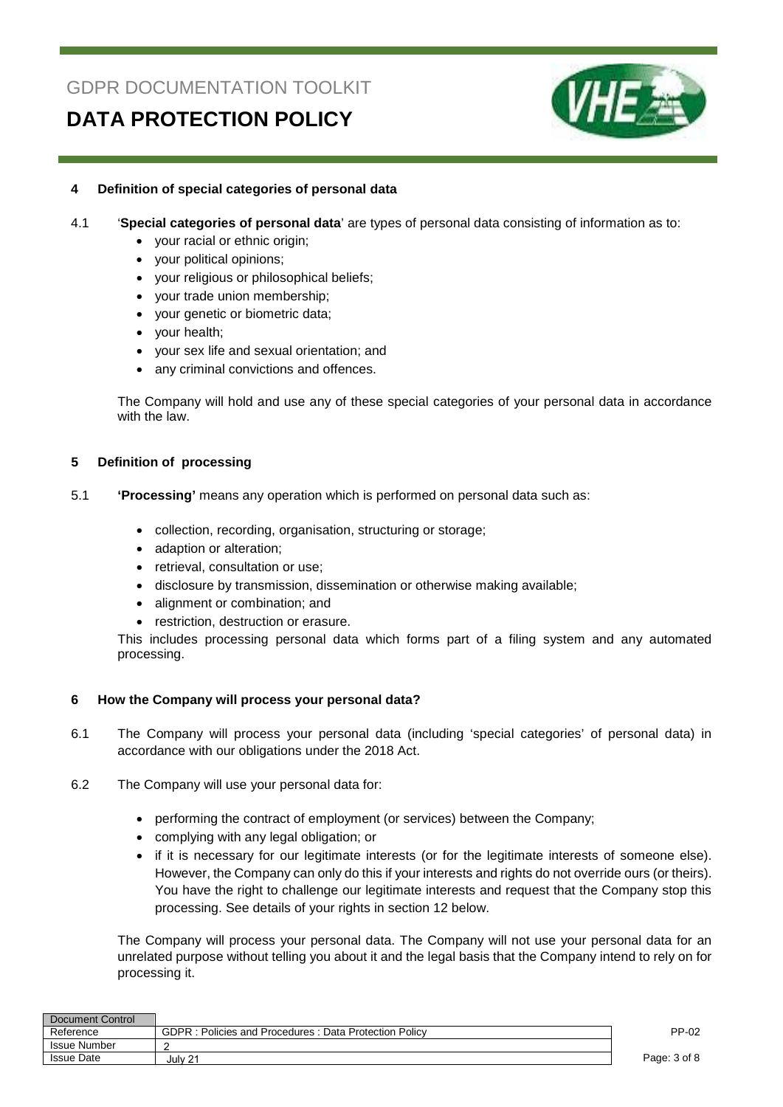## **DATA PROTECTION POLICY**



#### **4 Definition of special categories of personal data**

#### 4.1 '**Special categories of personal data**' are types of personal data consisting of information as to:

- your racial or ethnic origin;
- your political opinions;
- your religious or philosophical beliefs;
- your trade union membership;
- your genetic or biometric data;
- your health;
- your sex life and sexual orientation; and
- any criminal convictions and offences.

The Company will hold and use any of these special categories of your personal data in accordance with the law.

#### **5 Definition of processing**

- 5.1 **'Processing'** means any operation which is performed on personal data such as:
	- collection, recording, organisation, structuring or storage;
	- adaption or alteration;
	- retrieval, consultation or use;
	- disclosure by transmission, dissemination or otherwise making available;
	- alignment or combination; and
	- restriction, destruction or erasure.

This includes processing personal data which forms part of a filing system and any automated processing.

#### **6 How the Company will process your personal data?**

- 6.1 The Company will process your personal data (including 'special categories' of personal data) in accordance with our obligations under the 2018 Act.
- 6.2 The Company will use your personal data for:
	- performing the contract of employment (or services) between the Company:
	- complying with any legal obligation; or
	- if it is necessary for our legitimate interests (or for the legitimate interests of someone else). However, the Company can only do this if your interests and rights do not override ours (or theirs). You have the right to challenge our legitimate interests and request that the Company stop this processing. See details of your rights in section 12 below.

The Company will process your personal data. The Company will not use your personal data for an unrelated purpose without telling you about it and the legal basis that the Company intend to rely on for processing it.

| Document Control    |                                                                   |              |
|---------------------|-------------------------------------------------------------------|--------------|
| Reference           | <b>GDPR</b><br>: Policies and Procedures : Data Protection Policv | PP-02        |
| <b>Issue Number</b> |                                                                   |              |
| <b>Issue Date</b>   | July 21                                                           | Page: 3 of 8 |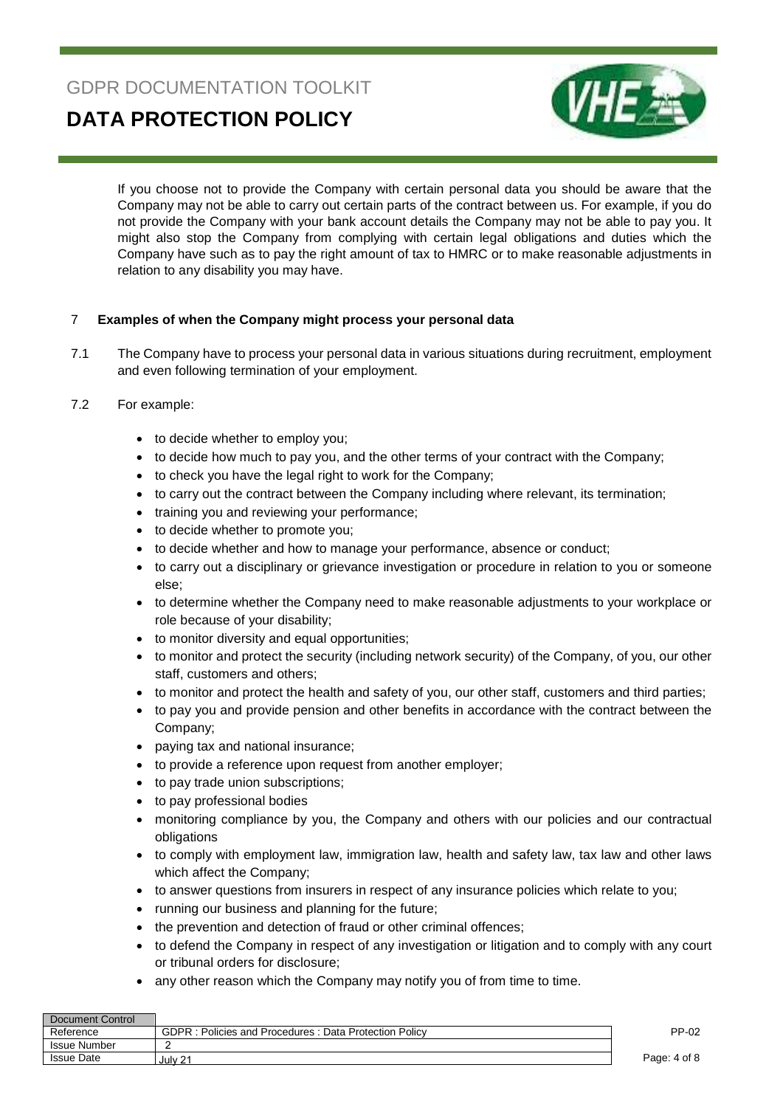**DATA PROTECTION POLICY** 



If you choose not to provide the Company with certain personal data you should be aware that the Company may not be able to carry out certain parts of the contract between us. For example, if you do not provide the Company with your bank account details the Company may not be able to pay you. It might also stop the Company from complying with certain legal obligations and duties which the Company have such as to pay the right amount of tax to HMRC or to make reasonable adjustments in relation to any disability you may have.

#### 7 **Examples of when the Company might process your personal data**

- 7.1 The Company have to process your personal data in various situations during recruitment, employment and even following termination of your employment.
- 7.2 For example:
	- to decide whether to employ you;
	- to decide how much to pay you, and the other terms of your contract with the Company;
	- to check you have the legal right to work for the Company;
	- to carry out the contract between the Company including where relevant, its termination;
	- training you and reviewing your performance;
	- to decide whether to promote you;
	- to decide whether and how to manage your performance, absence or conduct;
	- to carry out a disciplinary or grievance investigation or procedure in relation to you or someone else;
	- to determine whether the Company need to make reasonable adjustments to your workplace or role because of your disability;
	- to monitor diversity and equal opportunities;
	- to monitor and protect the security (including network security) of the Company, of you, our other staff, customers and others;
	- to monitor and protect the health and safety of you, our other staff, customers and third parties;
	- to pay you and provide pension and other benefits in accordance with the contract between the Company;
	- paying tax and national insurance;
	- to provide a reference upon request from another employer;
	- to pay trade union subscriptions;
	- to pay professional bodies
	- monitoring compliance by you, the Company and others with our policies and our contractual obligations
	- to comply with employment law, immigration law, health and safety law, tax law and other laws which affect the Company;
	- to answer questions from insurers in respect of any insurance policies which relate to you;
	- running our business and planning for the future;
	- the prevention and detection of fraud or other criminal offences;
	- to defend the Company in respect of any investigation or litigation and to comply with any court or tribunal orders for disclosure;
	- any other reason which the Company may notify you of from time to time.

| Document Control    |                                                       |              |
|---------------------|-------------------------------------------------------|--------------|
| Reference           | GDPR: Policies and Procedures: Data Protection Policy | PP-02        |
| <b>Issue Number</b> |                                                       |              |
| <b>Issue Date</b>   | July 21                                               | Page: 4 of 8 |
|                     |                                                       |              |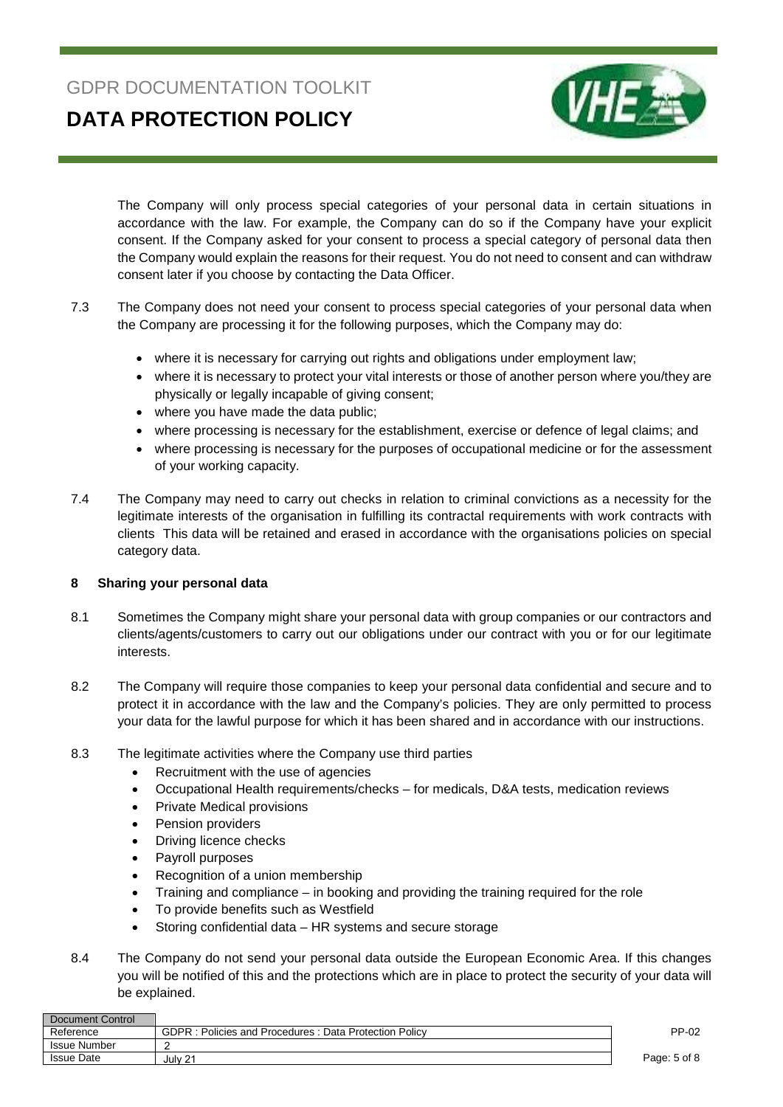**DATA PROTECTION POLICY** 



The Company will only process special categories of your personal data in certain situations in accordance with the law. For example, the Company can do so if the Company have your explicit consent. If the Company asked for your consent to process a special category of personal data then the Company would explain the reasons for their request. You do not need to consent and can withdraw consent later if you choose by contacting the Data Officer.

- 7.3 The Company does not need your consent to process special categories of your personal data when the Company are processing it for the following purposes, which the Company may do:
	- where it is necessary for carrying out rights and obligations under employment law;
	- where it is necessary to protect your vital interests or those of another person where you/they are physically or legally incapable of giving consent;
	- where you have made the data public;
	- where processing is necessary for the establishment, exercise or defence of legal claims; and
	- where processing is necessary for the purposes of occupational medicine or for the assessment of your working capacity.
- 7.4 The Company may need to carry out checks in relation to criminal convictions as a necessity for the legitimate interests of the organisation in fulfilling its contractal requirements with work contracts with clients This data will be retained and erased in accordance with the organisations policies on special category data.

#### **8 Sharing your personal data**

- 8.1 Sometimes the Company might share your personal data with group companies or our contractors and clients/agents/customers to carry out our obligations under our contract with you or for our legitimate interests.
- 8.2 The Company will require those companies to keep your personal data confidential and secure and to protect it in accordance with the law and the Company's policies. They are only permitted to process your data for the lawful purpose for which it has been shared and in accordance with our instructions.
- 8.3 The legitimate activities where the Company use third parties
	- Recruitment with the use of agencies
	- Occupational Health requirements/checks for medicals, D&A tests, medication reviews
	- Private Medical provisions
	- Pension providers
	- **Driving licence checks**
	- Payroll purposes
	- Recognition of a union membership
	- Training and compliance in booking and providing the training required for the role
	- To provide benefits such as Westfield
	- Storing confidential data HR systems and secure storage
- 8.4 The Company do not send your personal data outside the European Economic Area. If this changes you will be notified of this and the protections which are in place to protect the security of your data will be explained.

| Document Control  |                                                                     |              |
|-------------------|---------------------------------------------------------------------|--------------|
| Reference         | <b>GDPR</b><br>: Policies and Procedures:<br>Data Protection Policy | PP-02        |
| Issue Number      |                                                                     |              |
| <b>Issue Date</b> | July 21                                                             | Page: 5 of 8 |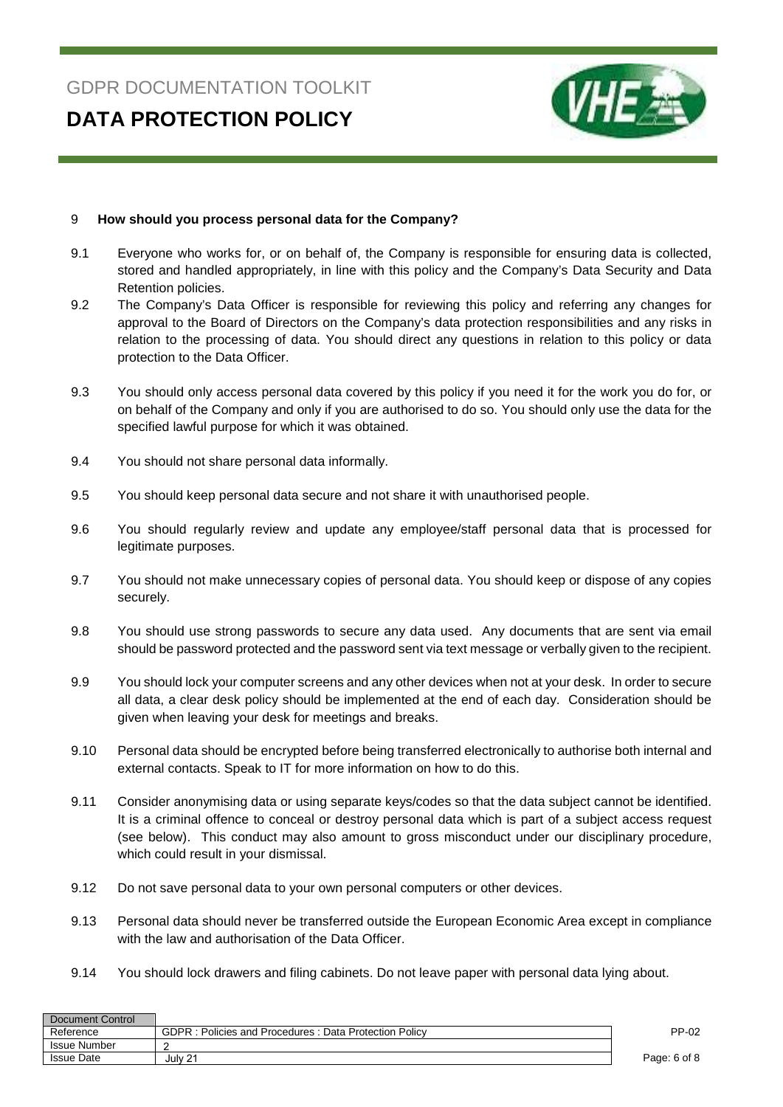

#### 9 **How should you process personal data for the Company?**

- 9.1 Everyone who works for, or on behalf of, the Company is responsible for ensuring data is collected, stored and handled appropriately, in line with this policy and the Company's Data Security and Data Retention policies.
- 9.2 The Company's Data Officer is responsible for reviewing this policy and referring any changes for approval to the Board of Directors on the Company's data protection responsibilities and any risks in relation to the processing of data. You should direct any questions in relation to this policy or data protection to the Data Officer.
- 9.3 You should only access personal data covered by this policy if you need it for the work you do for, or on behalf of the Company and only if you are authorised to do so. You should only use the data for the specified lawful purpose for which it was obtained.
- 9.4 You should not share personal data informally.
- 9.5 You should keep personal data secure and not share it with unauthorised people.
- 9.6 You should regularly review and update any employee/staff personal data that is processed for legitimate purposes.
- 9.7 You should not make unnecessary copies of personal data. You should keep or dispose of any copies securely.
- 9.8 You should use strong passwords to secure any data used. Any documents that are sent via email should be password protected and the password sent via text message or verbally given to the recipient.
- 9.9 You should lock your computer screens and any other devices when not at your desk. In order to secure all data, a clear desk policy should be implemented at the end of each day. Consideration should be given when leaving your desk for meetings and breaks.
- 9.10 Personal data should be encrypted before being transferred electronically to authorise both internal and external contacts. Speak to IT for more information on how to do this.
- 9.11 Consider anonymising data or using separate keys/codes so that the data subject cannot be identified. It is a criminal offence to conceal or destroy personal data which is part of a subject access request (see below). This conduct may also amount to gross misconduct under our disciplinary procedure, which could result in your dismissal.
- 9.12 Do not save personal data to your own personal computers or other devices.
- 9.13 Personal data should never be transferred outside the European Economic Area except in compliance with the law and authorisation of the Data Officer
- 9.14 You should lock drawers and filing cabinets. Do not leave paper with personal data lying about.

| Document Control  |                                                                   |              |
|-------------------|-------------------------------------------------------------------|--------------|
| Reference         | <b>GDPR</b><br>: Policies and Procedures : Data Protection Policy | PP-02        |
| Issue Number      |                                                                   |              |
| <b>Issue Date</b> | July 21                                                           | Page: 6 of 8 |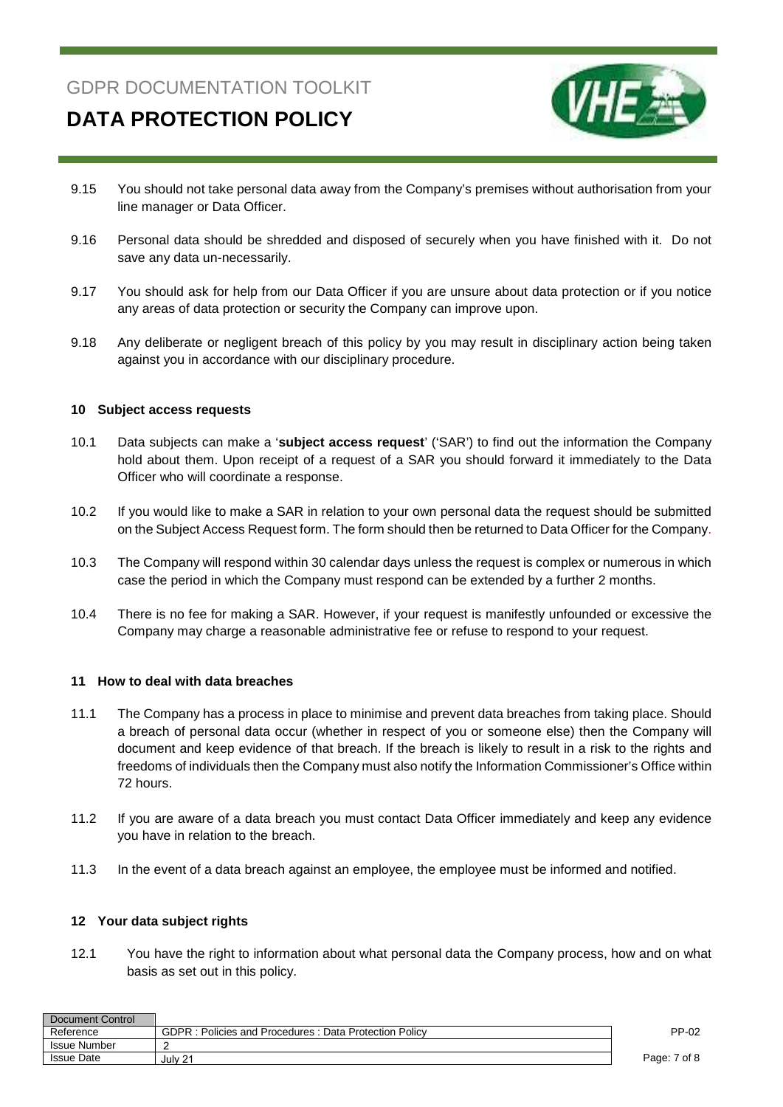

## **DATA PROTECTION POLICY**

- 9.15 You should not take personal data away from the Company's premises without authorisation from your line manager or Data Officer.
- 9.16 Personal data should be shredded and disposed of securely when you have finished with it. Do not save any data un-necessarily.
- 9.17 You should ask for help from our Data Officer if you are unsure about data protection or if you notice any areas of data protection or security the Company can improve upon.
- 9.18 Any deliberate or negligent breach of this policy by you may result in disciplinary action being taken against you in accordance with our disciplinary procedure.

#### **10 Subject access requests**

- 10.1 Data subjects can make a '**subject access request**' ('SAR') to find out the information the Company hold about them. Upon receipt of a request of a SAR you should forward it immediately to the Data Officer who will coordinate a response.
- 10.2 If you would like to make a SAR in relation to your own personal data the request should be submitted on the Subject Access Request form. The form should then be returned to Data Officer for the Company.
- 10.3 The Company will respond within 30 calendar days unless the request is complex or numerous in which case the period in which the Company must respond can be extended by a further 2 months.
- 10.4 There is no fee for making a SAR. However, if your request is manifestly unfounded or excessive the Company may charge a reasonable administrative fee or refuse to respond to your request.

#### **11 How to deal with data breaches**

- 11.1 The Company has a process in place to minimise and prevent data breaches from taking place. Should a breach of personal data occur (whether in respect of you or someone else) then the Company will document and keep evidence of that breach. If the breach is likely to result in a risk to the rights and freedoms of individuals then the Company must also notify the Information Commissioner's Office within 72 hours.
- 11.2 If you are aware of a data breach you must contact Data Officer immediately and keep any evidence you have in relation to the breach.
- 11.3 In the event of a data breach against an employee, the employee must be informed and notified.

#### **12 Your data subject rights**

12.1 You have the right to information about what personal data the Company process, how and on what basis as set out in this policy.

| Document Control  |                                                       |              |
|-------------------|-------------------------------------------------------|--------------|
| Reference         | GDPR: Policies and Procedures: Data Protection Policy | PP-02        |
| Issue Number      |                                                       |              |
| <b>Issue Date</b> | July 21                                               | Page: 7 of 8 |